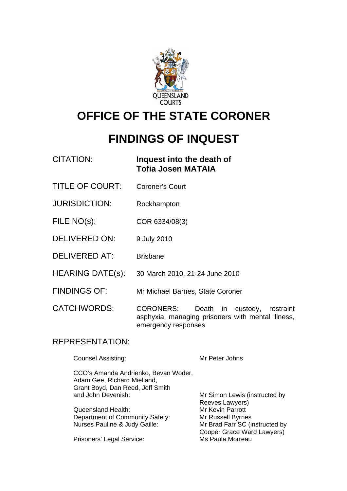

# **OFFICE OF THE STATE CORONER**

# **FINDINGS OF INQUEST**

| CITATION: | Inquest into the death of |
|-----------|---------------------------|
|           | <b>Tofia Josen MATAIA</b> |

- TITLE OF COURT: Coroner's Court
- JURISDICTION: Rockhampton
- FILE NO(s): COR 6334/08(3)
- DELIVERED ON: 9 July 2010
- DELIVERED AT: Brisbane
- HEARING DATE(s): 30 March 2010, 21-24 June 2010
- FINDINGS OF: Mr Michael Barnes, State Coroner

CATCHWORDS: CORONERS: Death in custody, restraint asphyxia, managing prisoners with mental illness, emergency responses

### REPRESENTATION:

Counsel Assisting: Mr Peter Johns

 CCO's Amanda Andrienko, Bevan Woder, Adam Gee, Richard Mielland, Grant Boyd, Dan Reed, Jeff Smith and John Devenish: Mr Simon Lewis (instructed by

Queensland Health: Mr Kevin Parrott Department of Community Safety: Mr Russell Byrnes<br>Nurses Pauline & Judy Gaille: Mr Brad Farr SC (ii

Prisoners' Legal Service: Ms Paula Morreau

 Reeves Lawyers) Mr Brad Farr SC (instructed by Cooper Grace Ward Lawyers)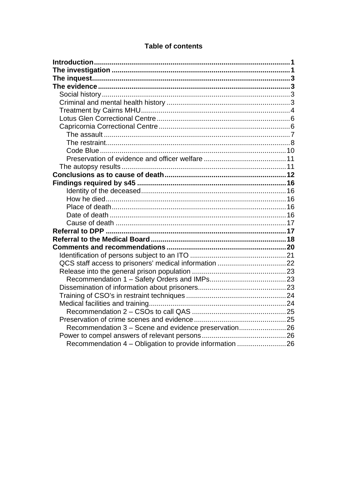| Recommendation 3 - Scene and evidence preservation26    |  |
|---------------------------------------------------------|--|
|                                                         |  |
| Recommendation 4 – Obligation to provide information 26 |  |

### **Table of contents**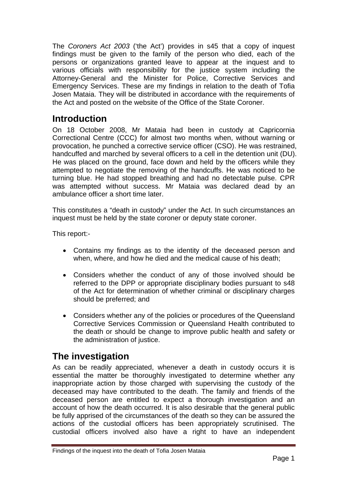<span id="page-2-0"></span>The *Coroners Act 2003* ('the Act') provides in s45 that a copy of inquest findings must be given to the family of the person who died, each of the persons or organizations granted leave to appear at the inquest and to various officials with responsibility for the justice system including the Attorney-General and the Minister for Police, Corrective Services and Emergency Services. These are my findings in relation to the death of Tofia Josen Mataia. They will be distributed in accordance with the requirements of the Act and posted on the website of the Office of the State Coroner.

# **Introduction**

On 18 October 2008, Mr Mataia had been in custody at Capricornia Correctional Centre (CCC) for almost two months when, without warning or provocation, he punched a corrective service officer (CSO). He was restrained, handcuffed and marched by several officers to a cell in the detention unit (DU). He was placed on the ground, face down and held by the officers while they attempted to negotiate the removing of the handcuffs. He was noticed to be turning blue. He had stopped breathing and had no detectable pulse. CPR was attempted without success. Mr Mataia was declared dead by an ambulance officer a short time later.

This constitutes a "death in custody" under the Act. In such circumstances an inquest must be held by the state coroner or deputy state coroner.

This report:-

- Contains my findings as to the identity of the deceased person and when, where, and how he died and the medical cause of his death;
- Considers whether the conduct of any of those involved should be referred to the DPP or appropriate disciplinary bodies pursuant to s48 of the Act for determination of whether criminal or disciplinary charges should be preferred; and
- Considers whether any of the policies or procedures of the Queensland Corrective Services Commission or Queensland Health contributed to the death or should be change to improve public health and safety or the administration of justice.

# **The investigation**

As can be readily appreciated, whenever a death in custody occurs it is essential the matter be thoroughly investigated to determine whether any inappropriate action by those charged with supervising the custody of the deceased may have contributed to the death. The family and friends of the deceased person are entitled to expect a thorough investigation and an account of how the death occurred. It is also desirable that the general public be fully apprised of the circumstances of the death so they can be assured the actions of the custodial officers has been appropriately scrutinised. The custodial officers involved also have a right to have an independent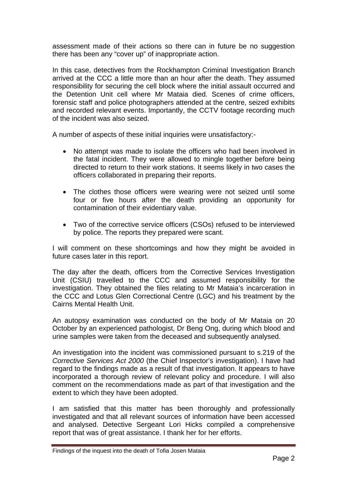assessment made of their actions so there can in future be no suggestion there has been any "cover up" of inappropriate action.

In this case, detectives from the Rockhampton Criminal Investigation Branch arrived at the CCC a little more than an hour after the death. They assumed responsibility for securing the cell block where the initial assault occurred and the Detention Unit cell where Mr Mataia died. Scenes of crime officers, forensic staff and police photographers attended at the centre, seized exhibits and recorded relevant events. Importantly, the CCTV footage recording much of the incident was also seized.

A number of aspects of these initial inquiries were unsatisfactory:-

- No attempt was made to isolate the officers who had been involved in the fatal incident. They were allowed to mingle together before being directed to return to their work stations. It seems likely in two cases the officers collaborated in preparing their reports.
- The clothes those officers were wearing were not seized until some four or five hours after the death providing an opportunity for contamination of their evidentiary value.
- Two of the corrective service officers (CSOs) refused to be interviewed by police. The reports they prepared were scant.

I will comment on these shortcomings and how they might be avoided in future cases later in this report.

The day after the death, officers from the Corrective Services Investigation Unit (CSIU) travelled to the CCC and assumed responsibility for the investigation. They obtained the files relating to Mr Mataia's incarceration in the CCC and Lotus Glen Correctional Centre (LGC) and his treatment by the Cairns Mental Health Unit.

An autopsy examination was conducted on the body of Mr Mataia on 20 October by an experienced pathologist, Dr Beng Ong, during which blood and urine samples were taken from the deceased and subsequently analysed.

An investigation into the incident was commissioned pursuant to s.219 of the *Corrective Services Act 2000* (the Chief Inspector's investigation). I have had regard to the findings made as a result of that investigation. It appears to have incorporated a thorough review of relevant policy and procedure. I will also comment on the recommendations made as part of that investigation and the extent to which they have been adopted.

I am satisfied that this matter has been thoroughly and professionally investigated and that all relevant sources of information have been accessed and analysed. Detective Sergeant Lori Hicks compiled a comprehensive report that was of great assistance. I thank her for her efforts.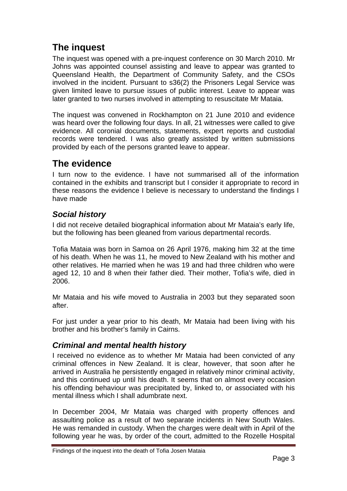# <span id="page-4-0"></span>**The inquest**

The inquest was opened with a pre-inquest conference on 30 March 2010. Mr Johns was appointed counsel assisting and leave to appear was granted to Queensland Health, the Department of Community Safety, and the CSOs involved in the incident. Pursuant to s36(2) the Prisoners Legal Service was given limited leave to pursue issues of public interest. Leave to appear was later granted to two nurses involved in attempting to resuscitate Mr Mataia.

The inquest was convened in Rockhampton on 21 June 2010 and evidence was heard over the following four days. In all, 21 witnesses were called to give evidence. All coronial documents, statements, expert reports and custodial records were tendered. I was also greatly assisted by written submissions provided by each of the persons granted leave to appear.

# **The evidence**

I turn now to the evidence. I have not summarised all of the information contained in the exhibits and transcript but I consider it appropriate to record in these reasons the evidence I believe is necessary to understand the findings I have made

### *Social history*

I did not receive detailed biographical information about Mr Mataia's early life, but the following has been gleaned from various departmental records.

Tofia Mataia was born in Samoa on 26 April 1976, making him 32 at the time of his death. When he was 11, he moved to New Zealand with his mother and other relatives. He married when he was 19 and had three children who were aged 12, 10 and 8 when their father died. Their mother, Tofia's wife, died in 2006.

Mr Mataia and his wife moved to Australia in 2003 but they separated soon after.

For just under a year prior to his death, Mr Mataia had been living with his brother and his brother's family in Cairns.

### *Criminal and mental health history*

I received no evidence as to whether Mr Mataia had been convicted of any criminal offences in New Zealand. It is clear, however, that soon after he arrived in Australia he persistently engaged in relatively minor criminal activity, and this continued up until his death. It seems that on almost every occasion his offending behaviour was precipitated by, linked to, or associated with his mental illness which I shall adumbrate next.

In December 2004, Mr Mataia was charged with property offences and assaulting police as a result of two separate incidents in New South Wales. He was remanded in custody. When the charges were dealt with in April of the following year he was, by order of the court, admitted to the Rozelle Hospital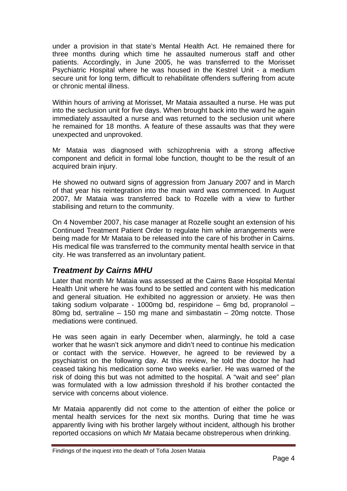<span id="page-5-0"></span>under a provision in that state's Mental Health Act. He remained there for three months during which time he assaulted numerous staff and other patients. Accordingly, in June 2005, he was transferred to the Morisset Psychiatric Hospital where he was housed in the Kestrel Unit - a medium secure unit for long term, difficult to rehabilitate offenders suffering from acute or chronic mental illness.

Within hours of arriving at Morisset, Mr Mataia assaulted a nurse. He was put into the seclusion unit for five days. When brought back into the ward he again immediately assaulted a nurse and was returned to the seclusion unit where he remained for 18 months. A feature of these assaults was that they were unexpected and unprovoked.

Mr Mataia was diagnosed with schizophrenia with a strong affective component and deficit in formal lobe function, thought to be the result of an acquired brain injury.

He showed no outward signs of aggression from January 2007 and in March of that year his reintegration into the main ward was commenced. In August 2007, Mr Mataia was transferred back to Rozelle with a view to further stabilising and return to the community.

On 4 November 2007, his case manager at Rozelle sought an extension of his Continued Treatment Patient Order to regulate him while arrangements were being made for Mr Mataia to be released into the care of his brother in Cairns. His medical file was transferred to the community mental health service in that city. He was transferred as an involuntary patient.

### *Treatment by Cairns MHU*

Later that month Mr Mataia was assessed at the Cairns Base Hospital Mental Health Unit where he was found to be settled and content with his medication and general situation. He exhibited no aggression or anxiety. He was then taking sodium volparate - 1000mg bd, respiridone – 6mg bd, propranolol – 80mg bd, sertraline – 150 mg mane and simbastatin – 20mg notcte. Those mediations were continued.

He was seen again in early December when, alarmingly, he told a case worker that he wasn't sick anymore and didn't need to continue his medication or contact with the service. However, he agreed to be reviewed by a psychiatrist on the following day. At this review, he told the doctor he had ceased taking his medication some two weeks earlier. He was warned of the risk of doing this but was not admitted to the hospital. A "wait and see" plan was formulated with a low admission threshold if his brother contacted the service with concerns about violence.

Mr Mataia apparently did not come to the attention of either the police or mental health services for the next six months. During that time he was apparently living with his brother largely without incident, although his brother reported occasions on which Mr Mataia became obstreperous when drinking.

Findings of the inquest into the death of Tofia Josen Mataia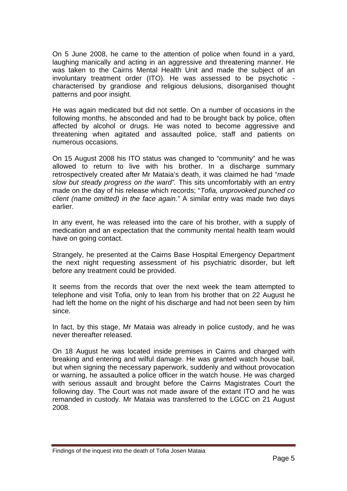On 5 June 2008, he came to the attention of police when found in a yard, laughing manically and acting in an aggressive and threatening manner. He was taken to the Cairns Mental Health Unit and made the subject of an involuntary treatment order (ITO). He was assessed to be psychotic characterised by grandiose and religious delusions, disorganised thought patterns and poor insight.

He was again medicated but did not settle. On a number of occasions in the following months, he absconded and had to be brought back by police, often affected by alcohol or drugs. He was noted to become aggressive and threatening when agitated and assaulted police, staff and patients on numerous occasions.

On 15 August 2008 his ITO status was changed to "community" and he was allowed to return to live with his brother. In a discharge summary retrospectively created after Mr Mataia's death, it was claimed he had "*made slow but steady progress on the ward".* This sits uncomfortably with an entry made on the day of his release which records; "*Tofia, unprovoked punched co client (name omitted) in the face again."* A similar entry was made two days earlier.

In any event, he was released into the care of his brother, with a supply of medication and an expectation that the community mental health team would have on going contact.

Strangely, he presented at the Cairns Base Hospital Emergency Department the next night requesting assessment of his psychiatric disorder, but left before any treatment could be provided.

It seems from the records that over the next week the team attempted to telephone and visit Tofia, only to lean from his brother that on 22 August he had left the home on the night of his discharge and had not been seen by him since.

In fact, by this stage, Mr Mataia was already in police custody, and he was never thereafter released.

On 18 August he was located inside premises in Cairns and charged with breaking and entering and wilful damage. He was granted watch house bail, but when signing the necessary paperwork, suddenly and without provocation or warning, he assaulted a police officer in the watch house. He was charged with serious assault and brought before the Cairns Magistrates Court the following day. The Court was not made aware of the extant ITO and he was remanded in custody. Mr Mataia was transferred to the LGCC on 21 August 2008.

Findings of the inquest into the death of Tofia Josen Mataia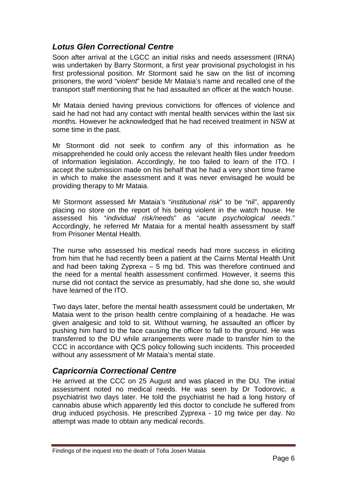### <span id="page-7-0"></span>*Lotus Glen Correctional Centre*

Soon after arrival at the LGCC an initial risks and needs assessment (IRNA) was undertaken by Barry Stormont, a first year provisional psychologist in his first professional position. Mr Stormont said he saw on the list of incoming prisoners, the word "*violent*" beside Mr Mataia's name and recalled one of the transport staff mentioning that he had assaulted an officer at the watch house.

Mr Mataia denied having previous convictions for offences of violence and said he had not had any contact with mental health services within the last six months. However he acknowledged that he had received treatment in NSW at some time in the past.

Mr Stormont did not seek to confirm any of this information as he misapprehended he could only access the relevant health files under freedom of information legislation. Accordingly, he too failed to learn of the ITO. I accept the submission made on his behalf that he had a very short time frame in which to make the assessment and it was never envisaged he would be providing therapy to Mr Mataia.

Mr Stormont assessed Mr Mataia's "*institutional risk*" to be "nil", apparently placing no store on the report of his being violent in the watch house. He assessed his "*individual risk/needs*" as "*acute psychological needs*." Accordingly, he referred Mr Mataia for a mental health assessment by staff from Prisoner Mental Health.

The nurse who assessed his medical needs had more success in eliciting from him that he had recently been a patient at the Cairns Mental Health Unit and had been taking Zyprexa – 5 mg bd. This was therefore continued and the need for a mental health assessment confirmed. However, it seems this nurse did not contact the service as presumably, had she done so, she would have learned of the ITO.

Two days later, before the mental health assessment could be undertaken, Mr Mataia went to the prison health centre complaining of a headache. He was given analgesic and told to sit. Without warning, he assaulted an officer by pushing him hard to the face causing the officer to fall to the ground. He was transferred to the DU while arrangements were made to transfer him to the CCC in accordance with QCS policy following such incidents. This proceeded without any assessment of Mr Mataia's mental state.

### *Capricornia Correctional Centre*

He arrived at the CCC on 25 August and was placed in the DU. The initial assessment noted no medical needs. He was seen by Dr Todorovic, a psychiatrist two days later. He told the psychiatrist he had a long history of cannabis abuse which apparently led this doctor to conclude he suffered from drug induced psychosis. He prescribed Zyprexa - 10 mg twice per day. No attempt was made to obtain any medical records.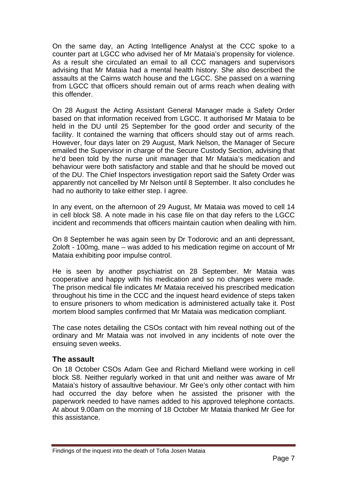<span id="page-8-0"></span>On the same day, an Acting Intelligence Analyst at the CCC spoke to a counter part at LGCC who advised her of Mr Mataia's propensity for violence. As a result she circulated an email to all CCC managers and supervisors advising that Mr Mataia had a mental health history. She also described the assaults at the Cairns watch house and the LGCC. She passed on a warning from LGCC that officers should remain out of arms reach when dealing with this offender.

On 28 August the Acting Assistant General Manager made a Safety Order based on that information received from LGCC. It authorised Mr Mataia to be held in the DU until 25 September for the good order and security of the facility. It contained the warning that officers should stay out of arms reach. However, four days later on 29 August, Mark Nelson, the Manager of Secure emailed the Supervisor in charge of the Secure Custody Section, advising that he'd been told by the nurse unit manager that Mr Mataia's medication and behaviour were both satisfactory and stable and that he should be moved out of the DU. The Chief Inspectors investigation report said the Safety Order was apparently not cancelled by Mr Nelson until 8 September. It also concludes he had no authority to take either step. I agree.

In any event, on the afternoon of 29 August, Mr Mataia was moved to cell 14 in cell block S8. A note made in his case file on that day refers to the LGCC incident and recommends that officers maintain caution when dealing with him.

On 8 September he was again seen by Dr Todorovic and an anti depressant, Zoloft - 100mg, mane – was added to his medication regime on account of Mr Mataia exhibiting poor impulse control.

He is seen by another psychiatrist on 28 September. Mr Mataia was cooperative and happy with his medication and so no changes were made. The prison medical file indicates Mr Mataia received his prescribed medication throughout his time in the CCC and the inquest heard evidence of steps taken to ensure prisoners to whom medication is administered actually take it. Post mortem blood samples confirmed that Mr Mataia was medication compliant.

The case notes detailing the CSOs contact with him reveal nothing out of the ordinary and Mr Mataia was not involved in any incidents of note over the ensuing seven weeks.

#### **The assault**

On 18 October CSOs Adam Gee and Richard Mielland were working in cell block S8. Neither regularly worked in that unit and neither was aware of Mr Mataia's history of assaultive behaviour. Mr Gee's only other contact with him had occurred the day before when he assisted the prisoner with the paperwork needed to have names added to his approved telephone contacts. At about 9.00am on the morning of 18 October Mr Mataia thanked Mr Gee for this assistance.

Findings of the inquest into the death of Tofia Josen Mataia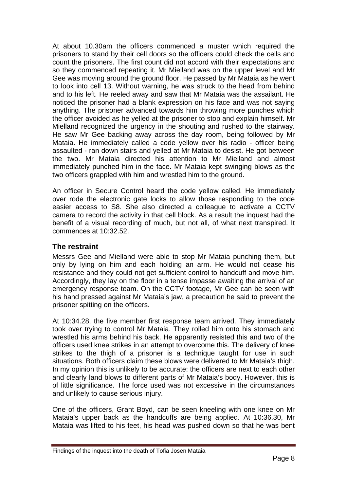<span id="page-9-0"></span>At about 10.30am the officers commenced a muster which required the prisoners to stand by their cell doors so the officers could check the cells and count the prisoners. The first count did not accord with their expectations and so they commenced repeating it. Mr Mielland was on the upper level and Mr Gee was moving around the ground floor. He passed by Mr Mataia as he went to look into cell 13. Without warning, he was struck to the head from behind and to his left. He reeled away and saw that Mr Mataia was the assailant. He noticed the prisoner had a blank expression on his face and was not saying anything. The prisoner advanced towards him throwing more punches which the officer avoided as he yelled at the prisoner to stop and explain himself. Mr Mielland recognized the urgency in the shouting and rushed to the stairway. He saw Mr Gee backing away across the day room, being followed by Mr Mataia. He immediately called a code yellow over his radio - officer being assaulted - ran down stairs and yelled at Mr Mataia to desist. He got between the two. Mr Mataia directed his attention to Mr Mielland and almost immediately punched him in the face. Mr Mataia kept swinging blows as the two officers grappled with him and wrestled him to the ground.

An officer in Secure Control heard the code yellow called. He immediately over rode the electronic gate locks to allow those responding to the code easier access to S8. She also directed a colleague to activate a CCTV camera to record the activity in that cell block. As a result the inquest had the benefit of a visual recording of much, but not all, of what next transpired. It commences at 10:32.52.

#### **The restraint**

Messrs Gee and Mielland were able to stop Mr Mataia punching them, but only by lying on him and each holding an arm. He would not cease his resistance and they could not get sufficient control to handcuff and move him. Accordingly, they lay on the floor in a tense impasse awaiting the arrival of an emergency response team. On the CCTV footage, Mr Gee can be seen with his hand pressed against Mr Mataia's jaw, a precaution he said to prevent the prisoner spitting on the officers.

At 10:34.28, the five member first response team arrived. They immediately took over trying to control Mr Mataia. They rolled him onto his stomach and wrestled his arms behind his back. He apparently resisted this and two of the officers used knee strikes in an attempt to overcome this. The delivery of knee strikes to the thigh of a prisoner is a technique taught for use in such situations. Both officers claim these blows were delivered to Mr Mataia's thigh. In my opinion this is unlikely to be accurate: the officers are next to each other and clearly land blows to different parts of Mr Mataia's body. However, this is of little significance. The force used was not excessive in the circumstances and unlikely to cause serious injury.

One of the officers, Grant Boyd, can be seen kneeling with one knee on Mr Mataia's upper back as the handcuffs are being applied. At 10:36.30, Mr Mataia was lifted to his feet, his head was pushed down so that he was bent

Findings of the inquest into the death of Tofia Josen Mataia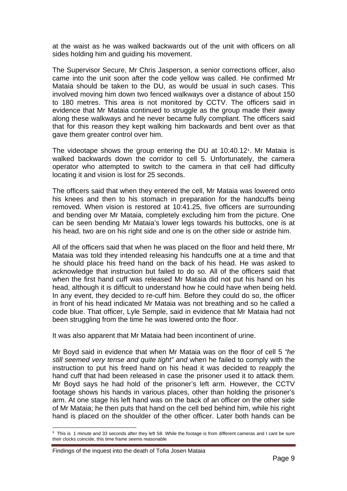at the waist as he was walked backwards out of the unit with officers on all sides holding him and guiding his movement.

The Supervisor Secure, Mr Chris Jasperson, a senior corrections officer, also came into the unit soon after the code yellow was called. He confirmed Mr Mataia should be taken to the DU, as would be usual in such cases. This involved moving him down two fenced walkways over a distance of about 150 to 180 metres. This area is not monitored by CCTV. The officers said in evidence that Mr Mataia continued to struggle as the group made their away along these walkways and he never became fully compliant. The officers said that for this reason they kept walking him backwards and bent over as that gave them greater control over him.

The videotape shows the group entering the DU at 10:40.12**[1](#page-10-0)**. Mr Mataia is walked backwards down the corridor to cell 5. Unfortunately, the camera operator who attempted to switch to the camera in that cell had difficulty locating it and vision is lost for 25 seconds.

The officers said that when they entered the cell, Mr Mataia was lowered onto his knees and then to his stomach in preparation for the handcuffs being removed. When vision is restored at 10:41.25, five officers are surrounding and bending over Mr Mataia, completely excluding him from the picture. One can be seen bending Mr Mataia's lower legs towards his buttocks, one is at his head, two are on his right side and one is on the other side or astride him.

All of the officers said that when he was placed on the floor and held there, Mr Mataia was told they intended releasing his handcuffs one at a time and that he should place his freed hand on the back of his head. He was asked to acknowledge that instruction but failed to do so. All of the officers said that when the first hand cuff was released Mr Mataia did not put his hand on his head, although it is difficult to understand how he could have when being held. In any event, they decided to re-cuff him. Before they could do so, the officer in front of his head indicated Mr Mataia was not breathing and so he called a code blue. That officer, Lyle Semple, said in evidence that Mr Mataia had not been struggling from the time he was lowered onto the floor.

It was also apparent that Mr Mataia had been incontinent of urine.

Mr Boyd said in evidence that when Mr Mataia was on the floor of cell 5 *"he still seemed very tense and quite tight" and* when he failed to comply with the instruction to put his freed hand on his head it was decided to reapply the hand cuff that had been released in case the prisoner used it to attack them. Mr Boyd says he had hold of the prisoner's left arm. However, the CCTV footage shows his hands in various places, other than holding the prisoner's arm. At one stage his left hand was on the back of an officer on the other side of Mr Mataia; he then puts that hand on the cell bed behind him, while his right hand is placed on the shoulder of the other officer. Later both hands can be

 $\overline{a}$ 

<span id="page-10-0"></span>**<sup>1</sup>** This is 1 minute and 33 seconds after they left S8. While the footage is from different cameras and I cant be sure their clocks coincide, this time frame seems reasonable

Findings of the inquest into the death of Tofia Josen Mataia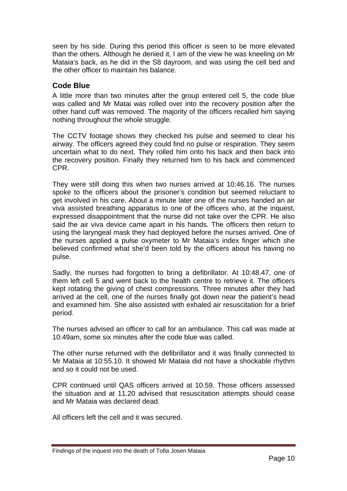<span id="page-11-0"></span>seen by his side. During this period this officer is seen to be more elevated than the others. Although he denied it, I am of the view he was kneeling on Mr Mataia's back, as he did in the S8 dayroom, and was using the cell bed and the other officer to maintain his balance.

#### **Code Blue**

A little more than two minutes after the group entered cell 5, the code blue was called and Mr Matai was rolled over into the recovery position after the other hand cuff was removed. The majority of the officers recalled him saying nothing throughout the whole struggle.

The CCTV footage shows they checked his pulse and seemed to clear his airway. The officers agreed they could find no pulse or respiration. They seem uncertain what to do next. They rolled him onto his back and then back into the recovery position. Finally they returned him to his back and commenced CPR.

They were still doing this when two nurses arrived at 10:46.16. The nurses spoke to the officers about the prisoner's condition but seemed reluctant to get involved in his care. About a minute later one of the nurses handed an air viva assisted breathing apparatus to one of the officers who, at the inquest, expressed disappointment that the nurse did not take over the CPR. He also said the air viva device came apart in his hands. The officers then return to using the laryngeal mask they had deployed before the nurses arrived. One of the nurses applied a pulse oxymeter to Mr Mataia's index finger which she believed confirmed what she'd been told by the officers about his having no pulse.

Sadly, the nurses had forgotten to bring a defibrillator. At 10:48.47, one of them left cell 5 and went back to the health centre to retrieve it. The officers kept rotating the giving of chest compressions. Three minutes after they had arrived at the cell, one of the nurses finally got down near the patient's head and examined him. She also assisted with exhaled air resuscitation for a brief period.

The nurses advised an officer to call for an ambulance. This call was made at 10:49am, some six minutes after the code blue was called.

The other nurse returned with the defibrillator and it was finally connected to Mr Mataia at 10:55.10. It showed Mr Mataia did not have a shockable rhythm and so it could not be used.

CPR continued until QAS officers arrived at 10.59. Those officers assessed the situation and at 11.20 advised that resuscitation attempts should cease and Mr Mataia was declared dead.

All officers left the cell and it was secured.

Findings of the inquest into the death of Tofia Josen Mataia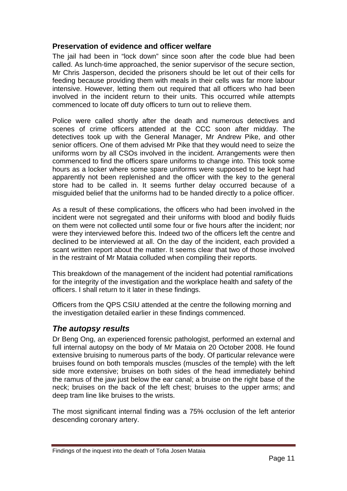#### <span id="page-12-0"></span>**Preservation of evidence and officer welfare**

The jail had been in "lock down" since soon after the code blue had been called. As lunch-time approached, the senior supervisor of the secure section, Mr Chris Jasperson, decided the prisoners should be let out of their cells for feeding because providing them with meals in their cells was far more labour intensive. However, letting them out required that all officers who had been involved in the incident return to their units. This occurred while attempts commenced to locate off duty officers to turn out to relieve them.

Police were called shortly after the death and numerous detectives and scenes of crime officers attended at the CCC soon after midday. The detectives took up with the General Manager, Mr Andrew Pike, and other senior officers. One of them advised Mr Pike that they would need to seize the uniforms worn by all CSOs involved in the incident. Arrangements were then commenced to find the officers spare uniforms to change into. This took some hours as a locker where some spare uniforms were supposed to be kept had apparently not been replenished and the officer with the key to the general store had to be called in. It seems further delay occurred because of a misguided belief that the uniforms had to be handed directly to a police officer.

As a result of these complications, the officers who had been involved in the incident were not segregated and their uniforms with blood and bodily fluids on them were not collected until some four or five hours after the incident; nor were they interviewed before this. Indeed two of the officers left the centre and declined to be interviewed at all. On the day of the incident, each provided a scant written report about the matter. It seems clear that two of those involved in the restraint of Mr Mataia colluded when compiling their reports.

This breakdown of the management of the incident had potential ramifications for the integrity of the investigation and the workplace health and safety of the officers. I shall return to it later in these findings.

Officers from the QPS CSIU attended at the centre the following morning and the investigation detailed earlier in these findings commenced.

### *The autopsy results*

Dr Beng Ong, an experienced forensic pathologist, performed an external and full internal autopsy on the body of Mr Mataia on 20 October 2008. He found extensive bruising to numerous parts of the body. Of particular relevance were bruises found on both temporals muscles (muscles of the temple) with the left side more extensive; bruises on both sides of the head immediately behind the ramus of the jaw just below the ear canal; a bruise on the right base of the neck; bruises on the back of the left chest; bruises to the upper arms; and deep tram line like bruises to the wrists.

The most significant internal finding was a 75% occlusion of the left anterior descending coronary artery.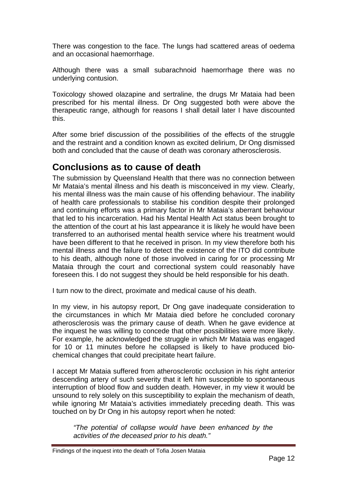<span id="page-13-0"></span>There was congestion to the face. The lungs had scattered areas of oedema and an occasional haemorrhage.

Although there was a small subarachnoid haemorrhage there was no underlying contusion.

Toxicology showed olazapine and sertraline, the drugs Mr Mataia had been prescribed for his mental illness. Dr Ong suggested both were above the therapeutic range, although for reasons I shall detail later I have discounted this.

After some brief discussion of the possibilities of the effects of the struggle and the restraint and a condition known as excited delirium, Dr Ong dismissed both and concluded that the cause of death was coronary atherosclerosis.

## **Conclusions as to cause of death**

The submission by Queensland Health that there was no connection between Mr Mataia's mental illness and his death is misconceived in my view. Clearly, his mental illness was the main cause of his offending behaviour. The inability of health care professionals to stabilise his condition despite their prolonged and continuing efforts was a primary factor in Mr Mataia's aberrant behaviour that led to his incarceration. Had his Mental Health Act status been brought to the attention of the court at his last appearance it is likely he would have been transferred to an authorised mental health service where his treatment would have been different to that he received in prison. In my view therefore both his mental illness and the failure to detect the existence of the ITO did contribute to his death, although none of those involved in caring for or processing Mr Mataia through the court and correctional system could reasonably have foreseen this. I do not suggest they should be held responsible for his death.

I turn now to the direct, proximate and medical cause of his death.

In my view, in his autopsy report, Dr Ong gave inadequate consideration to the circumstances in which Mr Mataia died before he concluded coronary atherosclerosis was the primary cause of death. When he gave evidence at the inquest he was willing to concede that other possibilities were more likely. For example, he acknowledged the struggle in which Mr Mataia was engaged for 10 or 11 minutes before he collapsed is likely to have produced biochemical changes that could precipitate heart failure.

I accept Mr Mataia suffered from atherosclerotic occlusion in his right anterior descending artery of such severity that it left him susceptible to spontaneous interruption of blood flow and sudden death. However, in my view it would be unsound to rely solely on this susceptibility to explain the mechanism of death, while ignoring Mr Mataia's activities immediately preceding death. This was touched on by Dr Ong in his autopsy report when he noted:

*"The potential of collapse would have been enhanced by the activities of the deceased prior to his death."*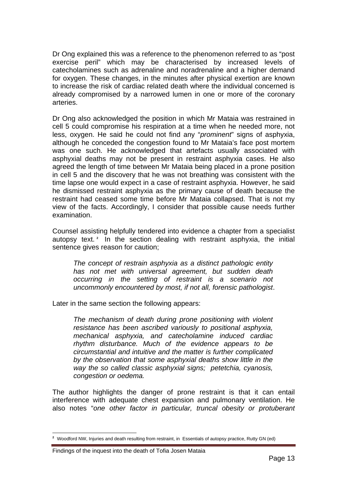Dr Ong explained this was a reference to the phenomenon referred to as "post exercise peril" which may be characterised by increased levels of catecholamines such as adrenaline and noradrenaline and a higher demand for oxygen. These changes, in the minutes after physical exertion are known to increase the risk of cardiac related death where the individual concerned is already compromised by a narrowed lumen in one or more of the coronary arteries.

Dr Ong also acknowledged the position in which Mr Mataia was restrained in cell 5 could compromise his respiration at a time when he needed more, not less, oxygen. He said he could not find any "*prominent*" signs of asphyxia, although he conceded the congestion found to Mr Mataia's face post mortem was one such. He acknowledged that artefacts usually associated with asphyxial deaths may not be present in restraint asphyxia cases. He also agreed the length of time between Mr Mataia being placed in a prone position in cell 5 and the discovery that he was not breathing was consistent with the time lapse one would expect in a case of restraint asphyxia. However, he said he dismissed restraint asphyxia as the primary cause of death because the restraint had ceased some time before Mr Mataia collapsed. That is not my view of the facts. Accordingly, I consider that possible cause needs further examination.

Counsel assisting helpfully tendered into evidence a chapter from a specialist autopsy text. **[2](#page-14-0)** In the section dealing with restraint asphyxia, the initial sentence gives reason for caution;

*The concept of restrain asphyxia as a distinct pathologic entity has not met with universal agreement, but sudden death occurring in the setting of restraint is a scenario not uncommonly encountered by most, if not all, forensic pathologist*.

Later in the same section the following appears:

*The mechanism of death during prone positioning with violent resistance has been ascribed variously to positional asphyxia, mechanical asphyxia, and catecholamine induced cardiac rhythm disturbance. Much of the evidence appears to be circumstantial and intuitive and the matter is further complicated by the observation that some asphyxial deaths show little in the way the so called classic asphyxial signs; petetchia, cyanosis, congestion or oedema.* 

The author highlights the danger of prone restraint is that it can entail interference with adequate chest expansion and pulmonary ventilation. He also notes "*one other factor in particular, truncal obesity or protuberant* 

<span id="page-14-0"></span> $\overline{a}$ **<sup>2</sup>** Woodford NW, Injuries and death resulting from restraint, in Essentials of autopsy practice, Rutty GN (ed)

Findings of the inquest into the death of Tofia Josen Mataia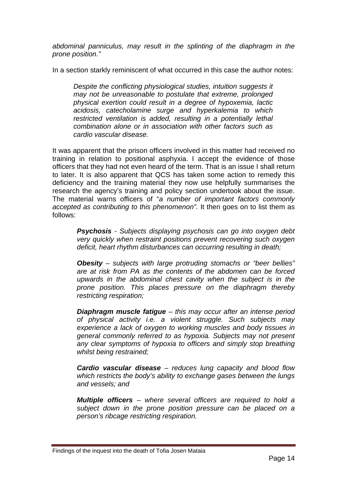*abdominal panniculus, may result in the splinting of the diaphragm in the prone position."*

In a section starkly reminiscent of what occurred in this case the author notes:

*Despite the conflicting physiological studies, intuition suggests it may not be unreasonable to postulate that extreme, prolonged physical exertion could result in a degree of hypoxemia, lactic acidosis, catecholamine surge and hyperkalemia to which restricted ventilation is added, resulting in a potentially lethal combination alone or in association with other factors such as cardio vascular disease.*

It was apparent that the prison officers involved in this matter had received no training in relation to positional asphyxia. I accept the evidence of those officers that they had not even heard of the term. That is an issue I shall return to later. It is also apparent that QCS has taken some action to remedy this deficiency and the training material they now use helpfully summarises the research the agency's training and policy section undertook about the issue. The material warns officers of "*a number of important factors commonly accepted as contributing to this phenomenon".* It then goes on to list them as follows:

*Psychosis - Subjects displaying psychosis can go into oxygen debt very quickly when restraint positions prevent recovering such oxygen deficit, heart rhythm disturbances can occurring resulting in death;* 

*Obesity – subjects with large protruding stomachs or "beer bellies" are at risk from PA as the contents of the abdomen can be forced upwards in the abdominal chest cavity when the subject is in the prone position. This places pressure on the diaphragm thereby restricting respiration;* 

*Diaphragm muscle fatigue – this may occur after an intense period of physical activity i.e. a violent struggle. Such subjects may experience a lack of oxygen to working muscles and body tissues in general commonly referred to as hypoxia. Subjects may not present any clear symptoms of hypoxia to officers and simply stop breathing whilst being restrained;* 

*Cardio vascular disease – reduces lung capacity and blood flow which restricts the body's ability to exchange gases between the lungs and vessels; and* 

*Multiple officers – where several officers are required to hold a subject down in the prone position pressure can be placed on a person's ribcage restricting respiration.* 

Findings of the inquest into the death of Tofia Josen Mataia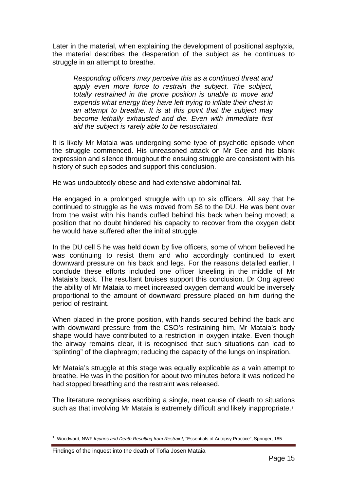Later in the material, when explaining the development of positional asphyxia, the material describes the desperation of the subject as he continues to struggle in an attempt to breathe.

*Responding officers may perceive this as a continued threat and apply even more force to restrain the subject. The subject, totally restrained in the prone position is unable to move and expends what energy they have left trying to inflate their chest in an attempt to breathe. It is at this point that the subject may become lethally exhausted and die. Even with immediate first aid the subject is rarely able to be resuscitated.* 

It is likely Mr Mataia was undergoing some type of psychotic episode when the struggle commenced. His unreasoned attack on Mr Gee and his blank expression and silence throughout the ensuing struggle are consistent with his history of such episodes and support this conclusion.

He was undoubtedly obese and had extensive abdominal fat.

He engaged in a prolonged struggle with up to six officers. All say that he continued to struggle as he was moved from S8 to the DU. He was bent over from the waist with his hands cuffed behind his back when being moved; a position that no doubt hindered his capacity to recover from the oxygen debt he would have suffered after the initial struggle.

In the DU cell 5 he was held down by five officers, some of whom believed he was continuing to resist them and who accordingly continued to exert downward pressure on his back and legs. For the reasons detailed earlier, I conclude these efforts included one officer kneeling in the middle of Mr Mataia's back. The resultant bruises support this conclusion. Dr Ong agreed the ability of Mr Mataia to meet increased oxygen demand would be inversely proportional to the amount of downward pressure placed on him during the period of restraint.

When placed in the prone position, with hands secured behind the back and with downward pressure from the CSO's restraining him, Mr Mataia's body shape would have contributed to a restriction in oxygen intake. Even though the airway remains clear, it is recognised that such situations can lead to "splinting" of the diaphragm; reducing the capacity of the lungs on inspiration.

Mr Mataia's struggle at this stage was equally explicable as a vain attempt to breathe. He was in the position for about two minutes before it was noticed he had stopped breathing and the restraint was released.

The literature recognises ascribing a single, neat cause of death to situations such as that involving Mr Mataia is extremely difficult and likely inappropriate.**[3](#page-16-0)**

<span id="page-16-0"></span> $\overline{a}$ **<sup>3</sup>** Woodward, NWF *Injuries and Death Resulting from Restraint,* "Essentials of Autopsy Practice", Springer, 185

Findings of the inquest into the death of Tofia Josen Mataia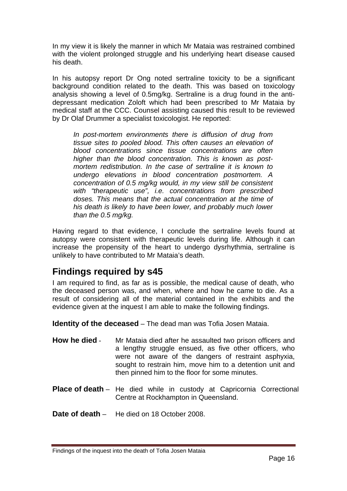<span id="page-17-0"></span>In my view it is likely the manner in which Mr Mataia was restrained combined with the violent prolonged struggle and his underlying heart disease caused his death.

In his autopsy report Dr Ong noted sertraline toxicity to be a significant background condition related to the death. This was based on toxicology analysis showing a level of 0.5mg/kg. Sertraline is a drug found in the antidepressant medication Zoloft which had been prescribed to Mr Mataia by medical staff at the CCC. Counsel assisting caused this result to be reviewed by Dr Olaf Drummer a specialist toxicologist. He reported:

*In post-mortem environments there is diffusion of drug from tissue sites to pooled blood. This often causes an elevation of blood concentrations since tissue concentrations are often higher than the blood concentration. This is known as postmortem redistribution. In the case of sertraline it is known to undergo elevations in blood concentration postmortem. A concentration of 0.5 mg/kg would, in my view still be consistent with "therapeutic use", i.e. concentrations from prescribed doses. This means that the actual concentration at the time of his death is likely to have been lower, and probably much lower than the 0.5 mg/kg.* 

Having regard to that evidence, I conclude the sertraline levels found at autopsy were consistent with therapeutic levels during life. Although it can increase the propensity of the heart to undergo dysrhythmia, sertraline is unlikely to have contributed to Mr Mataia's death.

# **Findings required by s45**

I am required to find, as far as is possible, the medical cause of death, who the deceased person was, and when, where and how he came to die. As a result of considering all of the material contained in the exhibits and the evidence given at the inquest I am able to make the following findings.

**Identity of the deceased** – The dead man was Tofia Josen Mataia.

- **How he died** Mr Mataia died after he assaulted two prison officers and a lengthy struggle ensued, as five other officers, who were not aware of the dangers of restraint asphyxia, sought to restrain him, move him to a detention unit and then pinned him to the floor for some minutes.
- **Place of death** He died while in custody at Capricornia Correctional Centre at Rockhampton in Queensland.
- **Date of death** He died on 18 October 2008.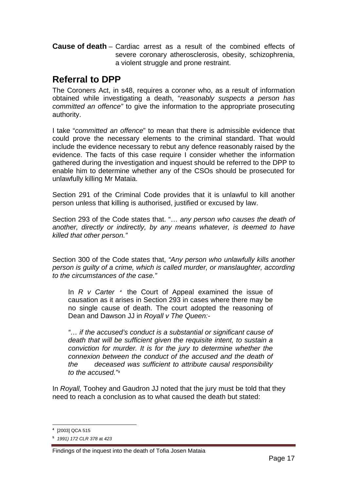<span id="page-18-0"></span>**Cause of death** – Cardiac arrest as a result of the combined effects of severe coronary atherosclerosis, obesity, schizophrenia, a violent struggle and prone restraint.

### **Referral to DPP**

The Coroners Act, in s48, requires a coroner who, as a result of information obtained while investigating a death, "*reasonably suspects a person has committed an offence"* to give the information to the appropriate prosecuting authority.

I take "*committed an offence*" to mean that there is admissible evidence that could prove the necessary elements to the criminal standard. That would include the evidence necessary to rebut any defence reasonably raised by the evidence. The facts of this case require I consider whether the information gathered during the investigation and inquest should be referred to the DPP to enable him to determine whether any of the CSOs should be prosecuted for unlawfully killing Mr Mataia.

Section 291 of the Criminal Code provides that it is unlawful to kill another person unless that killing is authorised, justified or excused by law.

Section 293 of the Code states that. "… *any person who causes the death of another, directly or indirectly, by any means whatever, is deemed to have killed that other person."*

Section 300 of the Code states that, *"Any person who unlawfully kills another person is guilty of a crime, which is called murder, or manslaughter, according to the circumstances of the case."* 

In *R v Carter [4](#page-18-1)* the Court of Appeal examined the issue of causation as it arises in Section 293 in cases where there may be no single cause of death. The court adopted the reasoning of Dean and Dawson JJ in *Royall v The Queen:-* 

*"… if the accused's conduct is a substantial or significant cause of death that will be sufficient given the requisite intent, to sustain a conviction for murder. It is for the jury to determine whether the connexion between the conduct of the accused and the death of the deceased was sufficient to attribute causal responsibility to the accused."[5](#page-18-2)*

In *Royall,* Toohey and Gaudron JJ noted that the jury must be told that they need to reach a conclusion as to what caused the death but stated:

 $\overline{a}$ **<sup>4</sup>** [2003] QCA 515

<span id="page-18-2"></span><span id="page-18-1"></span>**<sup>5</sup>** *1991) 172 CLR 378* at *423*

Findings of the inquest into the death of Tofia Josen Mataia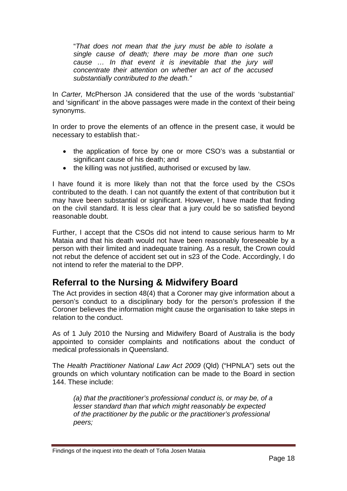<span id="page-19-0"></span>"*That does not mean that the jury must be able to isolate a single cause of death; there may be more than one such cause … In that event it is inevitable that the jury will concentrate their attention on whether an act of the accused substantially contributed to the death."* 

In *Carter,* McPherson JA considered that the use of the words 'substantial' and 'significant' in the above passages were made in the context of their being synonyms.

In order to prove the elements of an offence in the present case, it would be necessary to establish that:-

- the application of force by one or more CSO's was a substantial or significant cause of his death; and
- the killing was not justified, authorised or excused by law.

I have found it is more likely than not that the force used by the CSOs contributed to the death. I can not quantify the extent of that contribution but it may have been substantial or significant. However, I have made that finding on the civil standard. It is less clear that a jury could be so satisfied beyond reasonable doubt.

Further, I accept that the CSOs did not intend to cause serious harm to Mr Mataia and that his death would not have been reasonably foreseeable by a person with their limited and inadequate training. As a result, the Crown could not rebut the defence of accident set out in s23 of the Code. Accordingly, I do not intend to refer the material to the DPP.

# **Referral to the Nursing & Midwifery Board**

The Act provides in section 48(4) that a Coroner may give information about a person's conduct to a disciplinary body for the person's profession if the Coroner believes the information might cause the organisation to take steps in relation to the conduct.

As of 1 July 2010 the Nursing and Midwifery Board of Australia is the body appointed to consider complaints and notifications about the conduct of medical professionals in Queensland.

The *Health Practitioner National Law Act 2009* (Qld) ("HPNLA") sets out the grounds on which voluntary notification can be made to the Board in section 144. These include:

*(a) that the practitioner's professional conduct is, or may be, of a lesser standard than that which might reasonably be expected of the practitioner by the public or the practitioner's professional peers;* 

Findings of the inquest into the death of Tofia Josen Mataia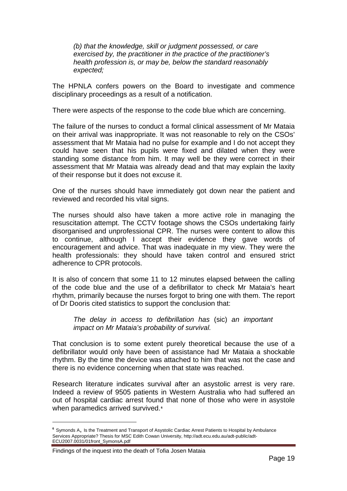*(b) that the knowledge, skill or judgment possessed, or care exercised by, the practitioner in the practice of the practitioner's health profession is, or may be, below the standard reasonably expected;* 

The HPNLA confers powers on the Board to investigate and commence disciplinary proceedings as a result of a notification.

There were aspects of the response to the code blue which are concerning.

The failure of the nurses to conduct a formal clinical assessment of Mr Mataia on their arrival was inappropriate. It was not reasonable to rely on the CSOs' assessment that Mr Mataia had no pulse for example and I do not accept they could have seen that his pupils were fixed and dilated when they were standing some distance from him. It may well be they were correct in their assessment that Mr Mataia was already dead and that may explain the laxity of their response but it does not excuse it.

One of the nurses should have immediately got down near the patient and reviewed and recorded his vital signs.

The nurses should also have taken a more active role in managing the resuscitation attempt. The CCTV footage shows the CSOs undertaking fairly disorganised and unprofessional CPR. The nurses were content to allow this to continue, although I accept their evidence they gave words of encouragement and advice. That was inadequate in my view. They were the health professionals: they should have taken control and ensured strict adherence to CPR protocols.

It is also of concern that some 11 to 12 minutes elapsed between the calling of the code blue and the use of a defibrillator to check Mr Mataia's heart rhythm, primarily because the nurses forgot to bring one with them. The report of Dr Dooris cited statistics to support the conclusion that:

*The delay in access to defibrillation has* (sic) *an important impact on Mr Mataia's probability of survival.* 

That conclusion is to some extent purely theoretical because the use of a defibrillator would only have been of assistance had Mr Mataia a shockable rhythm. By the time the device was attached to him that was not the case and there is no evidence concerning when that state was reached.

Research literature indicates survival after an asystolic arrest is very rare. Indeed a review of 9505 patients in Western Australia who had suffered an out of hospital cardiac arrest found that none of those who were in asystole when paramedics arrived survived.<sup>[6](#page-20-0)</sup>

 $\overline{a}$ 

<span id="page-20-0"></span>**<sup>6</sup>** Symonds A, Is the Treatment and Transport of Asystolic Cardiac Arrest Patients to Hospital by Ambulance Services Appropriate? Thesis for MSC Edith Cowan University, http://adt.ecu.edu.au/adt-public/adt-ECU2007.0031/01front\_SymonsA.pdf

Findings of the inquest into the death of Tofia Josen Mataia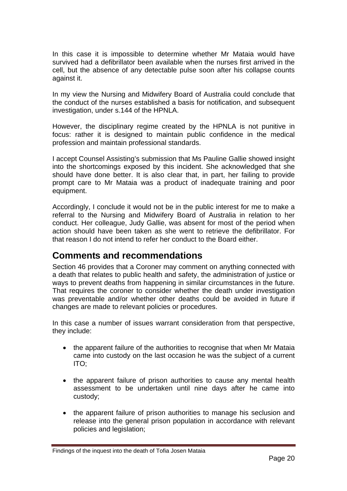<span id="page-21-0"></span>In this case it is impossible to determine whether Mr Mataia would have survived had a defibrillator been available when the nurses first arrived in the cell, but the absence of any detectable pulse soon after his collapse counts against it.

In my view the Nursing and Midwifery Board of Australia could conclude that the conduct of the nurses established a basis for notification, and subsequent investigation, under s.144 of the HPNLA.

However, the disciplinary regime created by the HPNLA is not punitive in focus: rather it is designed to maintain public confidence in the medical profession and maintain professional standards.

I accept Counsel Assisting's submission that Ms Pauline Gallie showed insight into the shortcomings exposed by this incident. She acknowledged that she should have done better. It is also clear that, in part, her failing to provide prompt care to Mr Mataia was a product of inadequate training and poor equipment.

Accordingly, I conclude it would not be in the public interest for me to make a referral to the Nursing and Midwifery Board of Australia in relation to her conduct. Her colleague, Judy Gallie, was absent for most of the period when action should have been taken as she went to retrieve the defibrillator. For that reason I do not intend to refer her conduct to the Board either.

### **Comments and recommendations**

Section 46 provides that a Coroner may comment on anything connected with a death that relates to public health and safety, the administration of justice or ways to prevent deaths from happening in similar circumstances in the future. That requires the coroner to consider whether the death under investigation was preventable and/or whether other deaths could be avoided in future if changes are made to relevant policies or procedures.

In this case a number of issues warrant consideration from that perspective, they include:

- the apparent failure of the authorities to recognise that when Mr Mataia came into custody on the last occasion he was the subject of a current ITO;
- the apparent failure of prison authorities to cause any mental health assessment to be undertaken until nine days after he came into custody;
- the apparent failure of prison authorities to manage his seclusion and release into the general prison population in accordance with relevant policies and legislation;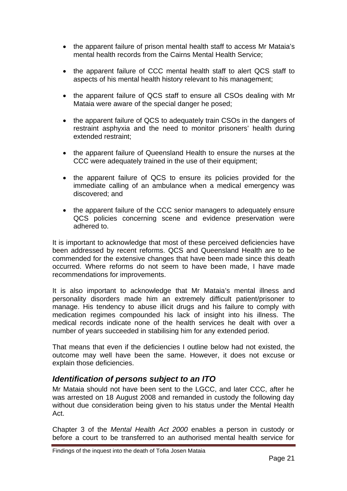- <span id="page-22-0"></span>• the apparent failure of prison mental health staff to access Mr Mataia's mental health records from the Cairns Mental Health Service;
- the apparent failure of CCC mental health staff to alert QCS staff to aspects of his mental health history relevant to his management;
- the apparent failure of QCS staff to ensure all CSOs dealing with Mr Mataia were aware of the special danger he posed;
- the apparent failure of QCS to adequately train CSOs in the dangers of restraint asphyxia and the need to monitor prisoners' health during extended restraint;
- the apparent failure of Queensland Health to ensure the nurses at the CCC were adequately trained in the use of their equipment;
- the apparent failure of QCS to ensure its policies provided for the immediate calling of an ambulance when a medical emergency was discovered; and
- the apparent failure of the CCC senior managers to adequately ensure QCS policies concerning scene and evidence preservation were adhered to.

It is important to acknowledge that most of these perceived deficiencies have been addressed by recent reforms. QCS and Queensland Health are to be commended for the extensive changes that have been made since this death occurred. Where reforms do not seem to have been made, I have made recommendations for improvements.

It is also important to acknowledge that Mr Mataia's mental illness and personality disorders made him an extremely difficult patient/prisoner to manage. His tendency to abuse illicit drugs and his failure to comply with medication regimes compounded his lack of insight into his illness. The medical records indicate none of the health services he dealt with over a number of years succeeded in stabilising him for any extended period.

That means that even if the deficiencies I outline below had not existed, the outcome may well have been the same. However, it does not excuse or explain those deficiencies.

### *Identification of persons subject to an ITO*

Mr Mataia should not have been sent to the LGCC, and later CCC, after he was arrested on 18 August 2008 and remanded in custody the following day without due consideration being given to his status under the Mental Health Act.

Chapter 3 of the *Mental Health Act 2000* enables a person in custody or before a court to be transferred to an authorised mental health service for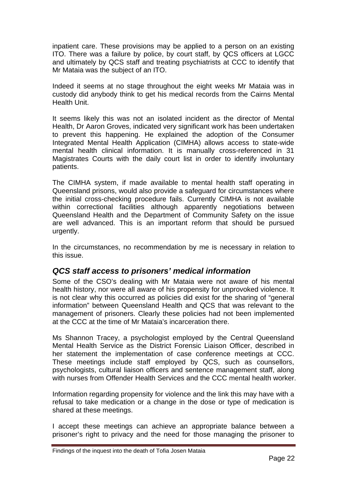<span id="page-23-0"></span>inpatient care. These provisions may be applied to a person on an existing ITO. There was a failure by police, by court staff, by QCS officers at LGCC and ultimately by QCS staff and treating psychiatrists at CCC to identify that Mr Mataia was the subject of an ITO.

Indeed it seems at no stage throughout the eight weeks Mr Mataia was in custody did anybody think to get his medical records from the Cairns Mental Health Unit.

It seems likely this was not an isolated incident as the director of Mental Health, Dr Aaron Groves, indicated very significant work has been undertaken to prevent this happening. He explained the adoption of the Consumer Integrated Mental Health Application (CIMHA) allows access to state-wide mental health clinical information. It is manually cross-referenced in 31 Magistrates Courts with the daily court list in order to identify involuntary patients.

The CIMHA system, if made available to mental health staff operating in Queensland prisons, would also provide a safeguard for circumstances where the initial cross-checking procedure fails. Currently CIMHA is not available within correctional facilities although apparently negotiations between Queensland Health and the Department of Community Safety on the issue are well advanced. This is an important reform that should be pursued urgently.

In the circumstances, no recommendation by me is necessary in relation to this issue.

### *QCS staff access to prisoners' medical information*

Some of the CSO's dealing with Mr Mataia were not aware of his mental health history, nor were all aware of his propensity for unprovoked violence. It is not clear why this occurred as policies did exist for the sharing of "general information" between Queensland Health and QCS that was relevant to the management of prisoners. Clearly these policies had not been implemented at the CCC at the time of Mr Mataia's incarceration there.

Ms Shannon Tracey, a psychologist employed by the Central Queensland Mental Health Service as the District Forensic Liaison Officer, described in her statement the implementation of case conference meetings at CCC. These meetings include staff employed by QCS, such as counsellors, psychologists, cultural liaison officers and sentence management staff, along with nurses from Offender Health Services and the CCC mental health worker.

Information regarding propensity for violence and the link this may have with a refusal to take medication or a change in the dose or type of medication is shared at these meetings.

I accept these meetings can achieve an appropriate balance between a prisoner's right to privacy and the need for those managing the prisoner to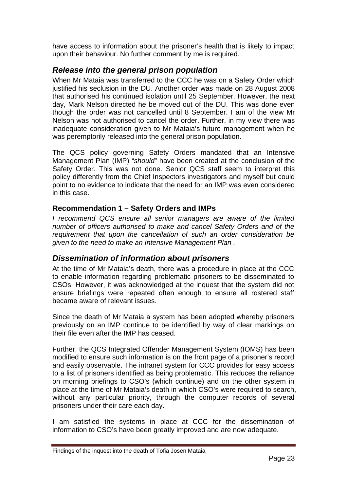<span id="page-24-0"></span>have access to information about the prisoner's health that is likely to impact upon their behaviour. No further comment by me is required.

### *Release into the general prison population*

When Mr Mataia was transferred to the CCC he was on a Safety Order which justified his seclusion in the DU. Another order was made on 28 August 2008 that authorised his continued isolation until 25 September. However, the next day, Mark Nelson directed he be moved out of the DU. This was done even though the order was not cancelled until 8 September. I am of the view Mr Nelson was not authorised to cancel the order. Further, in my view there was inadequate consideration given to Mr Mataia's future management when he was peremptorily released into the general prison population.

The QCS policy governing Safety Orders mandated that an Intensive Management Plan (IMP) "*should*" have been created at the conclusion of the Safety Order. This was not done. Senior QCS staff seem to interpret this policy differently from the Chief Inspectors investigators and myself but could point to no evidence to indicate that the need for an IMP was even considered in this case.

### **Recommendation 1 – Safety Orders and IMPs**

*I recommend QCS ensure all senior managers are aware of the limited number of officers authorised to make and cancel Safety Orders and of the requirement that upon the cancellation of such an order consideration be given to the need to make an Intensive Management Plan .* 

### *Dissemination of information about prisoners*

At the time of Mr Mataia's death, there was a procedure in place at the CCC to enable information regarding problematic prisoners to be disseminated to CSOs. However, it was acknowledged at the inquest that the system did not ensure briefings were repeated often enough to ensure all rostered staff became aware of relevant issues.

Since the death of Mr Mataia a system has been adopted whereby prisoners previously on an IMP continue to be identified by way of clear markings on their file even after the IMP has ceased.

Further, the QCS Integrated Offender Management System (IOMS) has been modified to ensure such information is on the front page of a prisoner's record and easily observable. The intranet system for CCC provides for easy access to a list of prisoners identified as being problematic. This reduces the reliance on morning briefings to CSO's (which continue) and on the other system in place at the time of Mr Mataia's death in which CSO's were required to search, without any particular priority, through the computer records of several prisoners under their care each day.

I am satisfied the systems in place at CCC for the dissemination of information to CSO's have been greatly improved and are now adequate.

Findings of the inquest into the death of Tofia Josen Mataia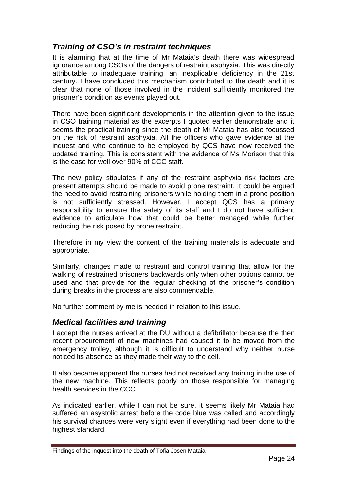### <span id="page-25-0"></span>*Training of CSO's in restraint techniques*

It is alarming that at the time of Mr Mataia's death there was widespread ignorance among CSOs of the dangers of restraint asphyxia. This was directly attributable to inadequate training, an inexplicable deficiency in the 21st century. I have concluded this mechanism contributed to the death and it is clear that none of those involved in the incident sufficiently monitored the prisoner's condition as events played out.

There have been significant developments in the attention given to the issue in CSO training material as the excerpts I quoted earlier demonstrate and it seems the practical training since the death of Mr Mataia has also focussed on the risk of restraint asphyxia. All the officers who gave evidence at the inquest and who continue to be employed by QCS have now received the updated training. This is consistent with the evidence of Ms Morison that this is the case for well over 90% of CCC staff.

The new policy stipulates if any of the restraint asphyxia risk factors are present attempts should be made to avoid prone restraint. It could be argued the need to avoid restraining prisoners while holding them in a prone position is not sufficiently stressed. However, I accept QCS has a primary responsibility to ensure the safety of its staff and I do not have sufficient evidence to articulate how that could be better managed while further reducing the risk posed by prone restraint.

Therefore in my view the content of the training materials is adequate and appropriate.

Similarly, changes made to restraint and control training that allow for the walking of restrained prisoners backwards only when other options cannot be used and that provide for the regular checking of the prisoner's condition during breaks in the process are also commendable.

No further comment by me is needed in relation to this issue.

### *Medical facilities and training*

I accept the nurses arrived at the DU without a defibrillator because the then recent procurement of new machines had caused it to be moved from the emergency trolley, although it is difficult to understand why neither nurse noticed its absence as they made their way to the cell.

It also became apparent the nurses had not received any training in the use of the new machine. This reflects poorly on those responsible for managing health services in the CCC.

As indicated earlier, while I can not be sure, it seems likely Mr Mataia had suffered an asystolic arrest before the code blue was called and accordingly his survival chances were very slight even if everything had been done to the highest standard.

Findings of the inquest into the death of Tofia Josen Mataia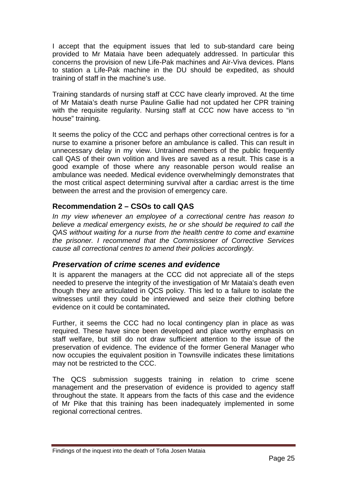<span id="page-26-0"></span>I accept that the equipment issues that led to sub-standard care being provided to Mr Mataia have been adequately addressed. In particular this concerns the provision of new Life-Pak machines and Air-Viva devices. Plans to station a Life-Pak machine in the DU should be expedited, as should training of staff in the machine's use.

Training standards of nursing staff at CCC have clearly improved. At the time of Mr Mataia's death nurse Pauline Gallie had not updated her CPR training with the requisite regularity. Nursing staff at CCC now have access to "in house" training.

It seems the policy of the CCC and perhaps other correctional centres is for a nurse to examine a prisoner before an ambulance is called. This can result in unnecessary delay in my view. Untrained members of the public frequently call QAS of their own volition and lives are saved as a result. This case is a good example of those where any reasonable person would realise an ambulance was needed. Medical evidence overwhelmingly demonstrates that the most critical aspect determining survival after a cardiac arrest is the time between the arrest and the provision of emergency care.

### **Recommendation 2 – CSOs to call QAS**

*In my view whenever an employee of a correctional centre has reason to believe a medical emergency exists, he or she should be required to call the QAS without waiting for a nurse from the health centre to come and examine the prisoner. I recommend that the Commissioner of Corrective Services cause all correctional centres to amend their policies accordingly.* 

### *Preservation of crime scenes and evidence*

It is apparent the managers at the CCC did not appreciate all of the steps needed to preserve the integrity of the investigation of Mr Mataia's death even though they are articulated in QCS policy. This led to a failure to isolate the witnesses until they could be interviewed and seize their clothing before evidence on it could be contaminated**.**

Further, it seems the CCC had no local contingency plan in place as was required. These have since been developed and place worthy emphasis on staff welfare, but still do not draw sufficient attention to the issue of the preservation of evidence. The evidence of the former General Manager who now occupies the equivalent position in Townsville indicates these limitations may not be restricted to the CCC.

The QCS submission suggests training in relation to crime scene management and the preservation of evidence is provided to agency staff throughout the state. It appears from the facts of this case and the evidence of Mr Pike that this training has been inadequately implemented in some regional correctional centres.

Findings of the inquest into the death of Tofia Josen Mataia